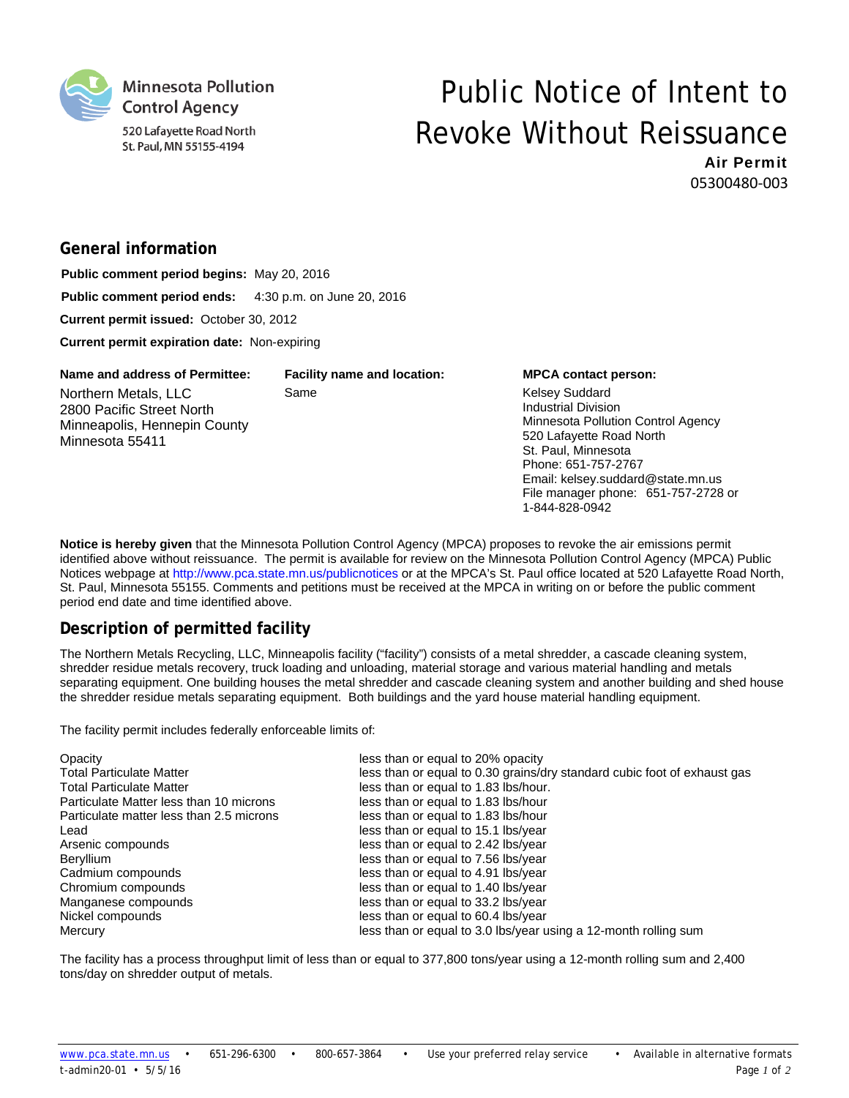

# Public Notice of Intent to Revoke Without Reissuance

1-844-828-0942

Air Permit 05300480‐003

## **General information**

**Public comment period begins:** May 20, 2016 **Public comment period ends:** 4:30 p.m. on June 20, 2016 **Current permit issued:** October 30, 2012 **Current permit expiration date:** Non-expiring

| Name and address of Permittee:                                                                       | <b>Facility name and location:</b> | <b>MPCA contact person:</b>                                                                                                                                                                                                                     |
|------------------------------------------------------------------------------------------------------|------------------------------------|-------------------------------------------------------------------------------------------------------------------------------------------------------------------------------------------------------------------------------------------------|
| Northern Metals, LLC<br>2800 Pacific Street North<br>Minneapolis, Hennepin County<br>Minnesota 55411 | Same                               | <b>Kelsey Suddard</b><br><b>Industrial Division</b><br>Minnesota Pollution Control Agency<br>520 Lafayette Road North<br>St. Paul, Minnesota<br>Phone: 651-757-2767<br>Email: kelsey.suddard@state.mn.us<br>File manager phone: 651-757-2728 or |

**Notice is hereby given** that the Minnesota Pollution Control Agency (MPCA) proposes to revoke the air emissions permit identified above without reissuance. The permit is available for review on the Minnesota Pollution Control Agency (MPCA) Public Notices webpage at http://www.pca.state.mn.us/publicnotices or at the MPCA's St. Paul office located at 520 Lafayette Road North, St. Paul, Minnesota 55155. Comments and petitions must be received at the MPCA in writing on or before the public comment period end date and time identified above.

### **Description of permitted facility**

The Northern Metals Recycling, LLC, Minneapolis facility ("facility") consists of a metal shredder, a cascade cleaning system, shredder residue metals recovery, truck loading and unloading, material storage and various material handling and metals separating equipment. One building houses the metal shredder and cascade cleaning system and another building and shed house the shredder residue metals separating equipment. Both buildings and the yard house material handling equipment.

The facility permit includes federally enforceable limits of:

| Opacity                                  | less than or equal to 20% opacity                                        |
|------------------------------------------|--------------------------------------------------------------------------|
| <b>Total Particulate Matter</b>          | less than or equal to 0.30 grains/dry standard cubic foot of exhaust gas |
| <b>Total Particulate Matter</b>          | less than or equal to 1.83 lbs/hour.                                     |
| Particulate Matter less than 10 microns  | less than or equal to 1.83 lbs/hour                                      |
| Particulate matter less than 2.5 microns | less than or equal to 1.83 lbs/hour                                      |
| Lead                                     | less than or equal to 15.1 lbs/year                                      |
| Arsenic compounds                        | less than or equal to 2.42 lbs/year                                      |
| <b>Beryllium</b>                         | less than or equal to 7.56 lbs/year                                      |
| Cadmium compounds                        | less than or equal to 4.91 lbs/year                                      |
| Chromium compounds                       | less than or equal to 1.40 lbs/year                                      |
| Manganese compounds                      | less than or equal to 33.2 lbs/year                                      |
| Nickel compounds                         | less than or equal to 60.4 lbs/year                                      |
| Mercury                                  | less than or equal to 3.0 lbs/year using a 12-month rolling sum          |

The facility has a process throughput limit of less than or equal to 377,800 tons/year using a 12-month rolling sum and 2,400 tons/day on shredder output of metals.